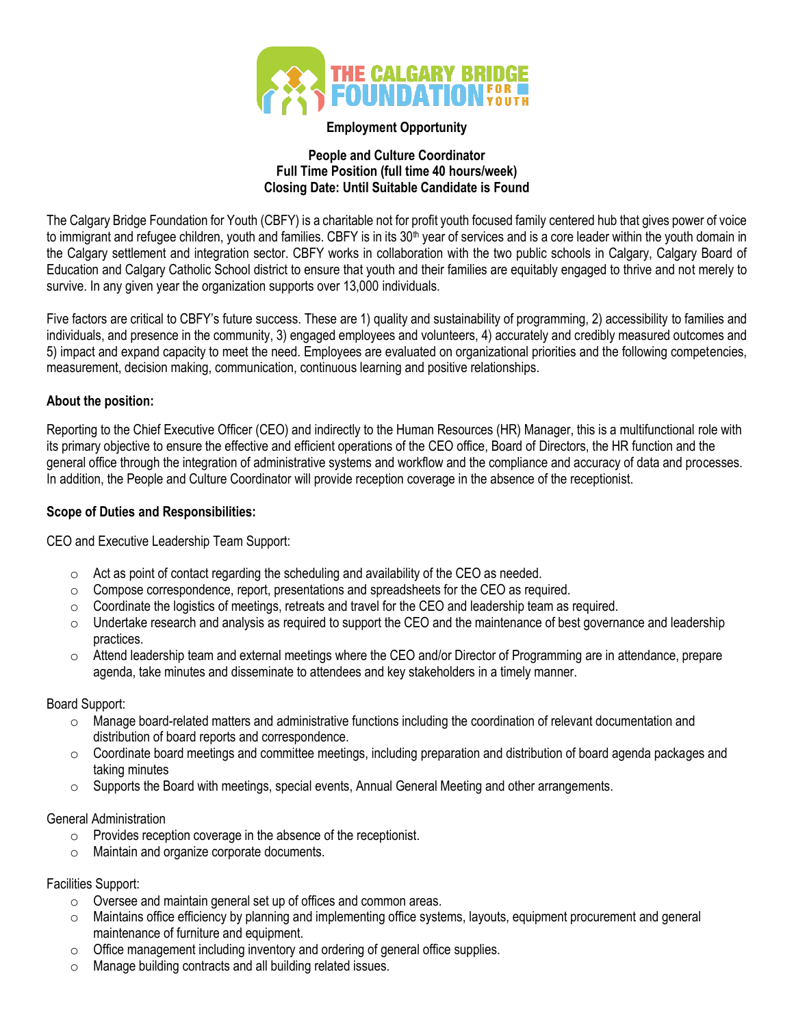

## **Employment Opportunity**

### **People and Culture Coordinator Full Time Position (full time 40 hours/week) Closing Date: Until Suitable Candidate is Found**

The Calgary Bridge Foundation for Youth (CBFY) is a charitable not for profit youth focused family centered hub that gives power of voice to immigrant and refugee children, youth and families. CBFY is in its 30<sup>th</sup> year of services and is a core leader within the youth domain in the Calgary settlement and integration sector. CBFY works in collaboration with the two public schools in Calgary, Calgary Board of Education and Calgary Catholic School district to ensure that youth and their families are equitably engaged to thrive and not merely to survive. In any given year the organization supports over 13,000 individuals.

Five factors are critical to CBFY's future success. These are 1) quality and sustainability of programming, 2) accessibility to families and individuals, and presence in the community, 3) engaged employees and volunteers, 4) accurately and credibly measured outcomes and 5) impact and expand capacity to meet the need. Employees are evaluated on organizational priorities and the following competencies, measurement, decision making, communication, continuous learning and positive relationships.

# **About the position:**

Reporting to the Chief Executive Officer (CEO) and indirectly to the Human Resources (HR) Manager, this is a multifunctional role with its primary objective to ensure the effective and efficient operations of the CEO office, Board of Directors, the HR function and the general office through the integration of administrative systems and workflow and the compliance and accuracy of data and processes. In addition, the People and Culture Coordinator will provide reception coverage in the absence of the receptionist.

# **Scope of Duties and Responsibilities:**

CEO and Executive Leadership Team Support:

- $\circ$  Act as point of contact regarding the scheduling and availability of the CEO as needed.
- $\circ$  Compose correspondence, report, presentations and spreadsheets for the CEO as required.
- $\circ$  Coordinate the logistics of meetings, retreats and travel for the CEO and leadership team as required.
- $\circ$  Undertake research and analysis as required to support the CEO and the maintenance of best governance and leadership practices.
- $\circ$  Attend leadership team and external meetings where the CEO and/or Director of Programming are in attendance, prepare agenda, take minutes and disseminate to attendees and key stakeholders in a timely manner.

## Board Support:

- $\circ$  Manage board-related matters and administrative functions including the coordination of relevant documentation and distribution of board reports and correspondence.
- $\circ$  Coordinate board meetings and committee meetings, including preparation and distribution of board agenda packages and taking minutes
- $\circ$  Supports the Board with meetings, special events, Annual General Meeting and other arrangements.

## General Administration

- o Provides reception coverage in the absence of the receptionist.
- o Maintain and organize corporate documents.

# Facilities Support:

- o Oversee and maintain general set up of offices and common areas.
- $\circ$  Maintains office efficiency by planning and implementing office systems, layouts, equipment procurement and general maintenance of furniture and equipment.
- $\circ$  Office management including inventory and ordering of general office supplies.
- o Manage building contracts and all building related issues.